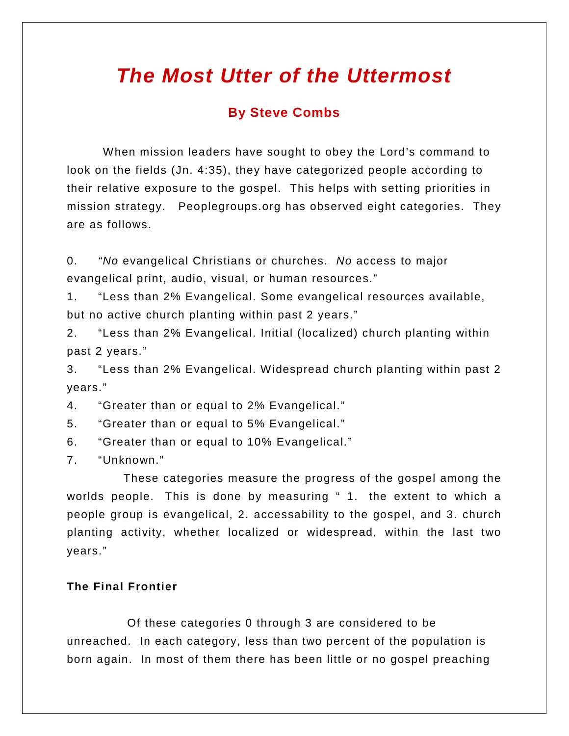# *The Most Utter of the Uttermost*

# **By Steve Combs**

When mission leaders have sought to obey the Lord's command to look on the fields (Jn. 4:35), they have categorized people according to their relative exposure to the gospel. This helps with setting priorities in mission strategy. Peoplegroups.org has observed eight categories. They are as follows.

0. *"No* evangelical Christians or churches. *No* access to major evangelical print, audio, visual, or human resources."

1. "Less than 2% Evangelical. Some evangelical resources available, but no active church planting within past 2 years."

2. "Less than 2% Evangelical. Initial (localized) church planting within past 2 years."

3. "Less than 2% Evangelical. Widespread church planting within past 2 years."

4. "Greater than or equal to 2% Evangelical."

5. "Greater than or equal to 5% Evangelical."

6. "Greater than or equal to 10% Evangelical."

7. "Unknown."

These categories measure the progress of the gospel among the worlds people. This is done by measuring "1. the extent to which a people group is evangelical, 2. accessability to the gospel, and 3. church planting activity, whether localized or widespread, within the last two years."

### **The Final Frontier**

Of these categories 0 through 3 are considered to be unreached. In each category, less than two percent of the population is born again. In most of them there has been little or no gospel preaching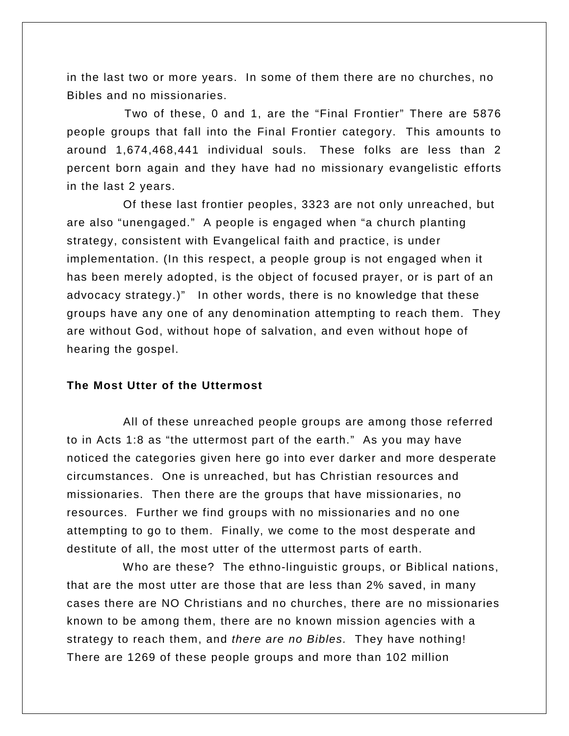in the last two or more years. In some of them there are no churches, no Bibles and no missionaries.

Two of these, 0 and 1, are the "Final Frontier" There are 5876 people groups that fall into the Final Frontier category. This amounts to around 1,674,468,441 individual souls. These folks are less than 2 percent born again and they have had no missionary evangelistic efforts in the last 2 years.

Of these last frontier peoples, 3323 are not only unreached, but are also "unengaged." A people is engaged when "a church planting strategy, consistent with Evangelical faith and practice, is under implementation. (In this respect, a people group is not engaged when it has been merely adopted, is the object of focused prayer, or is part of an advocacy strategy.)" In other words, there is no knowledge that these groups have any one of any denomination attempting to reach them. They are without God, without hope of salvation, and even without hope of hearing the gospel.

#### **The Most Utter of the Uttermost**

All of these unreached people groups are among those referred to in Acts 1:8 as "the uttermost part of the earth." As you may have noticed the categories given here go into ever darker and more desperate circumstances. One is unreached, but has Christian resources and missionaries. Then there are the groups that have missionaries, no resources. Further we find groups with no missionaries and no one attempting to go to them. Finally, we come to the most desperate and destitute of all, the most utter of the uttermost parts of earth.

Who are these? The ethno-linguistic groups, or Biblical nations, that are the most utter are those that are less than 2% saved, in many cases there are NO Christians and no churches, there are no missionaries known to be among them, there are no known mission agencies with a strategy to reach them, and *there are no Bibles.* They have nothing! There are 1269 of these people groups and more than 102 million